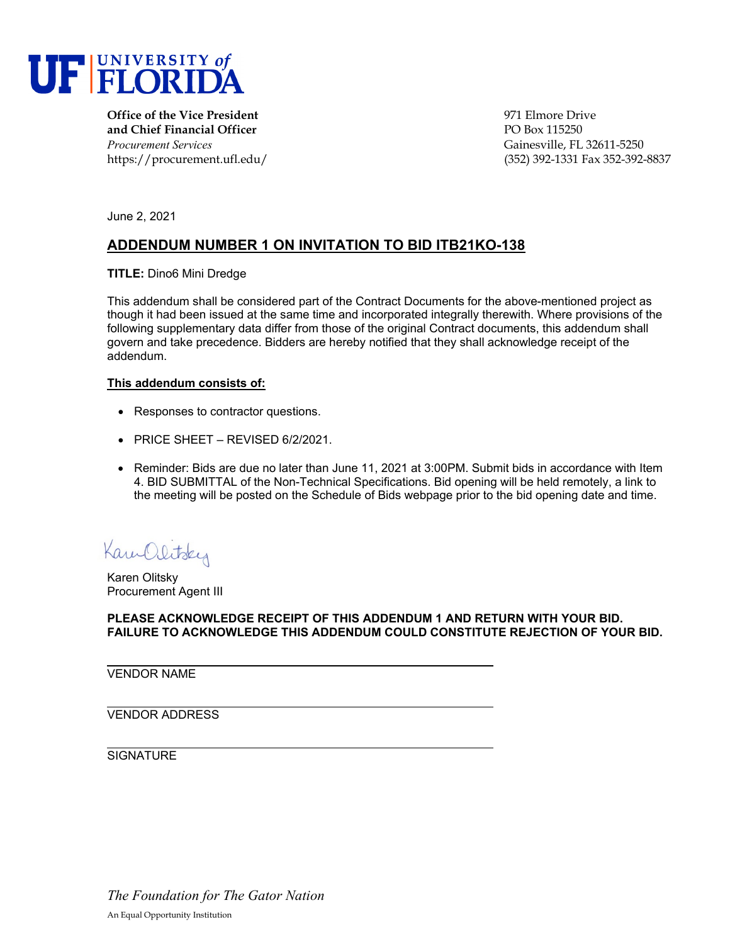

**Office of the Vice President** 1971 Elmore Drive 1971 Elmore Drive **and Chief Financial Officer PO Box 115250** *Procurement Services* Gainesville, FL 32611-5250

https://procurement.ufl.edu/ (352) 392-1331 Fax 352-392-8837

June 2, 2021

# **ADDENDUM NUMBER 1 ON INVITATION TO BID ITB21KO-138**

**TITLE:** Dino6 Mini Dredge

This addendum shall be considered part of the Contract Documents for the above-mentioned project as though it had been issued at the same time and incorporated integrally therewith. Where provisions of the following supplementary data differ from those of the original Contract documents, this addendum shall govern and take precedence. Bidders are hereby notified that they shall acknowledge receipt of the addendum.

#### **This addendum consists of:**

- Responses to contractor questions.
- PRICE SHEET REVISED 6/2/2021.
- Reminder: Bids are due no later than June 11, 2021 at 3:00PM. Submit bids in accordance with Item 4. BID SUBMITTAL of the Non-Technical Specifications. Bid opening will be held remotely, a link to the meeting will be posted on the Schedule of Bids webpage prior to the bid opening date and time.

Kam Olitsky

Karen Olitsky Procurement Agent III

**PLEASE ACKNOWLEDGE RECEIPT OF THIS ADDENDUM 1 AND RETURN WITH YOUR BID. FAILURE TO ACKNOWLEDGE THIS ADDENDUM COULD CONSTITUTE REJECTION OF YOUR BID.**

VENDOR NAME

VENDOR ADDRESS

**SIGNATURE** 

*The Foundation for The Gator Nation* An Equal Opportunity Institution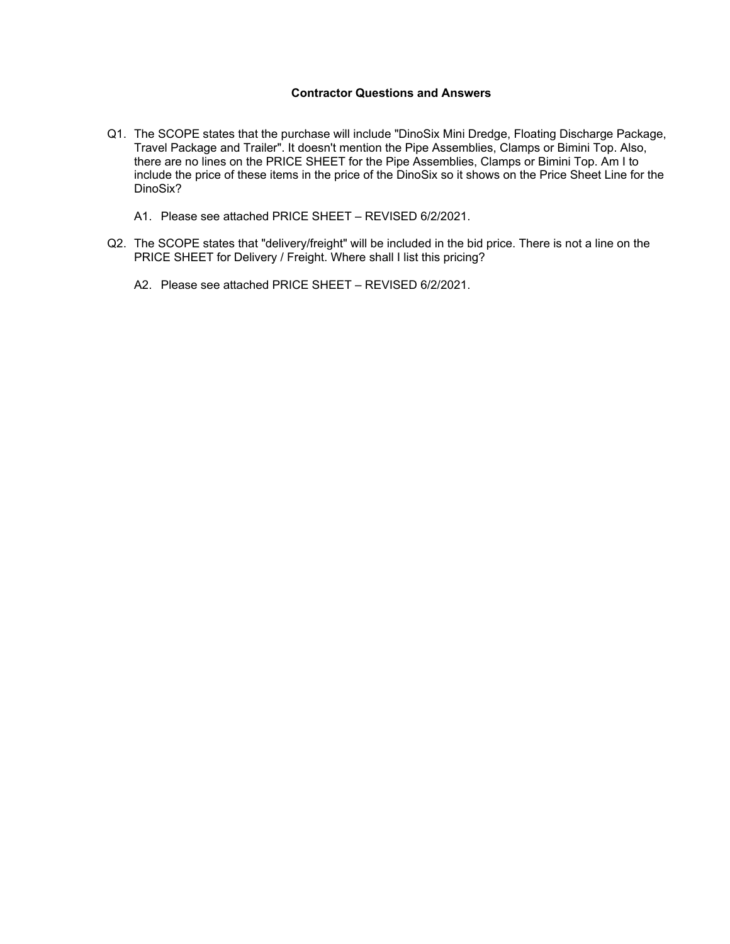### **Contractor Questions and Answers**

- Q1. The SCOPE states that the purchase will include "DinoSix Mini Dredge, Floating Discharge Package, Travel Package and Trailer". It doesn't mention the Pipe Assemblies, Clamps or Bimini Top. Also, there are no lines on the PRICE SHEET for the Pipe Assemblies, Clamps or Bimini Top. Am I to include the price of these items in the price of the DinoSix so it shows on the Price Sheet Line for the DinoSix?
	- A1. Please see attached PRICE SHEET REVISED 6/2/2021.
- Q2. The SCOPE states that "delivery/freight" will be included in the bid price. There is not a line on the PRICE SHEET for Delivery / Freight. Where shall I list this pricing?
	- A2. Please see attached PRICE SHEET REVISED 6/2/2021.